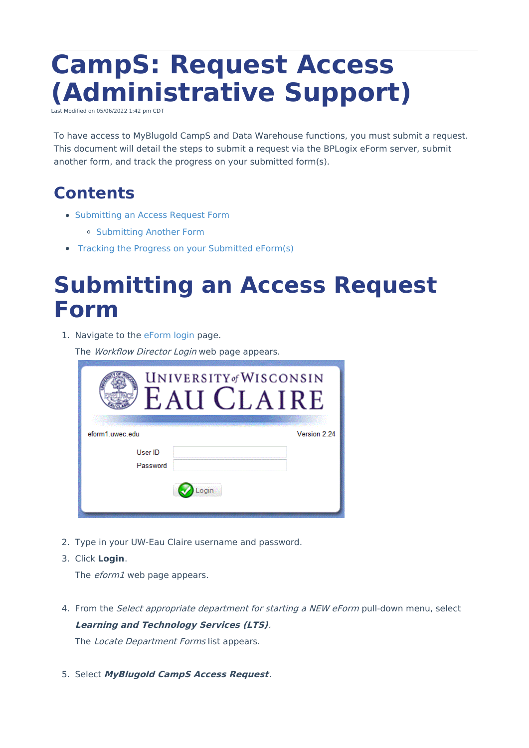# **CampS: Request Access (Administrative Support)**

Last Modified on 05/06/2022 1:42 pm CDT

To have access to MyBlugold CampS and Data Warehouse functions, you must submit a request. This document will detail the steps to submit a request via the BPLogix eForm server, submit another form, and track the progress on your submitted form(s).

### **Contents**

- [Submitting](http://kb.uwec.edu/#submitting%20an%20access%20request%20form) an Access Request Form
	- [Submitting](http://kb.uwec.edu/#submitting%20another%20form) Another Form
- Tracking the Progress on your [Submitted](http://kb.uwec.edu/#progress%20on%20your%20submitted%20eform) eForm(s)

### **Submitting an Access Request Form**

1. Navigate to the [eForm](https://eform1.uwec.edu/login.aspx?bp_nextpage=https%253a%252f%252feform1.uwec.edu%252fhome.aspx) login page.

The Workflow Director Login web page appears.

| UNIVERSITY of WISCONSIN<br><b>CLAIRE</b><br><b>EAI</b> |              |  |  |  |  |  |
|--------------------------------------------------------|--------------|--|--|--|--|--|
| eform1.uwec.edu                                        | Version 2.24 |  |  |  |  |  |
| User ID<br>Password                                    |              |  |  |  |  |  |

- 2. Type in your UW-Eau Claire username and password.
- 3. Click **Login**.

The *eform1* web page appears.

4. From the *Select appropriate department for starting a NEW eForm* pull-down menu, select **Learning and Technology Services (LTS)**.

The Locate Department Forms list appears.

5. Select **MyBlugold CampS Access Request**.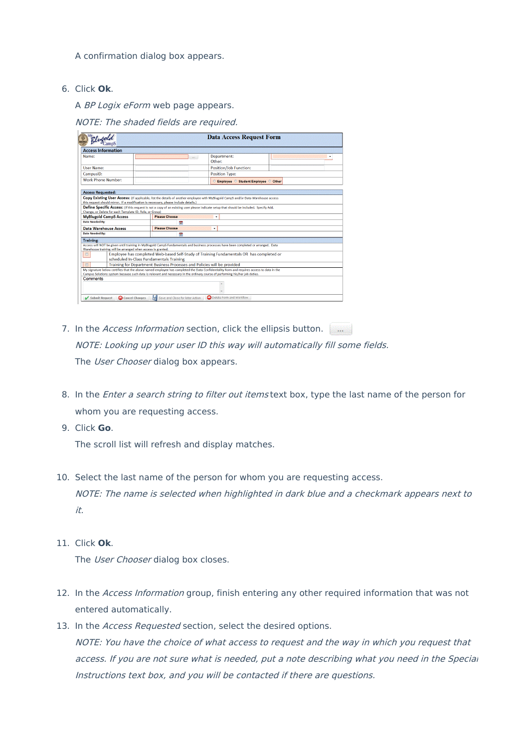A confirmation dialog box appears.

6. Click **Ok**.

A BP Logix eForm web page appears.

NOTE: The shaded fields are required.

| Rhubal                                                                                                                                                                                                                                                                                                                                                                                                                         | <b>Data Access Request Form</b>                                                                                                      |          |                                       |  |  |  |  |
|--------------------------------------------------------------------------------------------------------------------------------------------------------------------------------------------------------------------------------------------------------------------------------------------------------------------------------------------------------------------------------------------------------------------------------|--------------------------------------------------------------------------------------------------------------------------------------|----------|---------------------------------------|--|--|--|--|
| <b>Access Information</b>                                                                                                                                                                                                                                                                                                                                                                                                      |                                                                                                                                      |          |                                       |  |  |  |  |
| Name:                                                                                                                                                                                                                                                                                                                                                                                                                          |                                                                                                                                      | $\cdots$ | Department:<br>Other:                 |  |  |  |  |
| <b>User Name:</b>                                                                                                                                                                                                                                                                                                                                                                                                              |                                                                                                                                      |          | Position/Job Function:                |  |  |  |  |
| CampusID:                                                                                                                                                                                                                                                                                                                                                                                                                      |                                                                                                                                      |          | <b>Position Type:</b>                 |  |  |  |  |
| <b>Work Phone Number:</b>                                                                                                                                                                                                                                                                                                                                                                                                      |                                                                                                                                      |          | C Employee C Student Employee C Other |  |  |  |  |
| <b>Access Requested:</b>                                                                                                                                                                                                                                                                                                                                                                                                       |                                                                                                                                      |          |                                       |  |  |  |  |
| Copy Existing User Access: (If applicable, list the details of another employee with MyBlugold CampS and/or Data Warehouse access<br>this request should mirror. If a modification is necessary, please include details.)<br>Define Specific Access: (If this request is not a copy of an existing user please indicate setup that should be included. Specify Add,<br>Change, or Delete for each Template ID, Role, or Group) |                                                                                                                                      |          |                                       |  |  |  |  |
| <b>MyBlugold CampS Access</b>                                                                                                                                                                                                                                                                                                                                                                                                  | <b>Please Choose</b>                                                                                                                 |          | $\cdot$                               |  |  |  |  |
| <b>Date Needed Bv:</b>                                                                                                                                                                                                                                                                                                                                                                                                         | 龤                                                                                                                                    |          |                                       |  |  |  |  |
| <b>Data Warehouse Access</b>                                                                                                                                                                                                                                                                                                                                                                                                   | <b>Please Choose</b>                                                                                                                 | ٠        |                                       |  |  |  |  |
| <b>Date Needed By:</b>                                                                                                                                                                                                                                                                                                                                                                                                         | 體                                                                                                                                    |          |                                       |  |  |  |  |
| <b>Training:</b>                                                                                                                                                                                                                                                                                                                                                                                                               |                                                                                                                                      |          |                                       |  |  |  |  |
| Access will NOT be given until training in MyBlugold CampS Fundamentals and business processes have been completed or arranged. Data<br>Warehouse training will be arranged when access is granted.                                                                                                                                                                                                                            |                                                                                                                                      |          |                                       |  |  |  |  |
|                                                                                                                                                                                                                                                                                                                                                                                                                                | Employee has completed Web-based Self-Study of Training Fundamentals OR has completed or<br>scheduled In-Class Fundamentals Training |          |                                       |  |  |  |  |
| 同<br>Training for Department Business Processes and Policies will be provided                                                                                                                                                                                                                                                                                                                                                  |                                                                                                                                      |          |                                       |  |  |  |  |
| My signature below certifies that the above named employee has completed the Data Confidentiality Form and requires access to data in the<br>Campus Solutions system because such data is relevant and necessary in the ordinary course of performing his/her job duties.                                                                                                                                                      |                                                                                                                                      |          |                                       |  |  |  |  |
| Comments                                                                                                                                                                                                                                                                                                                                                                                                                       |                                                                                                                                      |          |                                       |  |  |  |  |
|                                                                                                                                                                                                                                                                                                                                                                                                                                |                                                                                                                                      |          |                                       |  |  |  |  |
|                                                                                                                                                                                                                                                                                                                                                                                                                                |                                                                                                                                      |          |                                       |  |  |  |  |
| Submit Request<br>Cancel Changes                                                                                                                                                                                                                                                                                                                                                                                               | Save and Close for later Action                                                                                                      |          | Delete Form and Workflow              |  |  |  |  |

- 7. In the Access Information section, click the ellipsis button. NOTE: Looking up your user ID this way will automatically fill some fields. The User Chooser dialog box appears.
- 8. In the *Enter a search string to filter out items* text box, type the last name of the person for whom you are requesting access.
- 9. Click **Go**.

The scroll list will refresh and display matches.

- 10. Select the last name of the person for whom you are requesting access. NOTE: The name is selected when highlighted in dark blue and <sup>a</sup> checkmark appears next to it.
- 11. Click **Ok**.

The User Chooser dialog box closes.

- 12. In the Access Information group, finish entering any other required information that was not entered automatically.
- 13. In the Access Requested section, select the desired options. NOTE: You have the choice of what access to request and the way in which you request that access. If you are not sure what is needed, put a note describing what you need in the Special Instructions text box, and you will be contacted if there are questions.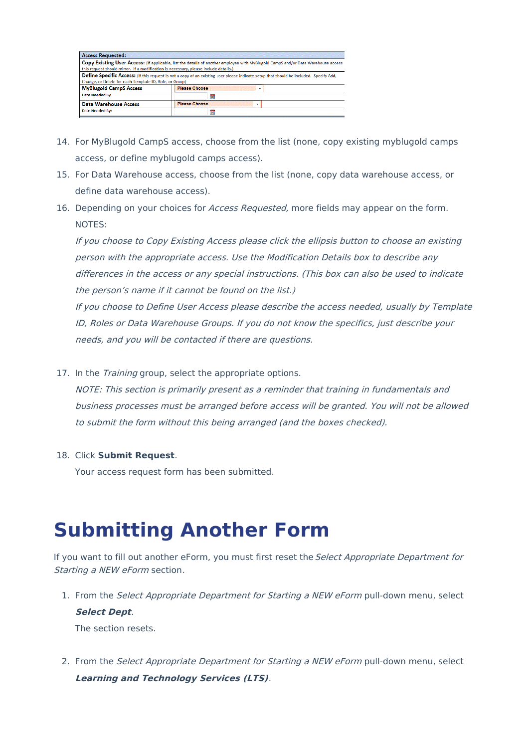| <b>Access Requested:</b>                                                             |                      |                                                                                                                                        |
|--------------------------------------------------------------------------------------|----------------------|----------------------------------------------------------------------------------------------------------------------------------------|
| this request should mirror. If a modification is necessary, please include details.) |                      | Copy Existing User Access: (If applicable, list the details of another employee with MyBlugold CampS and/or Data Warehouse access      |
| Change, or Delete for each Template ID, Role, or Group)                              |                      | Define Specific Access: (If this request is not a copy of an existing user please indicate setup that should be included. Specify Add, |
| <b>MyBlugold CampS Access</b>                                                        | <b>Please Choose</b> |                                                                                                                                        |
| Date Needed By:                                                                      | æ                    |                                                                                                                                        |
| <b>Data Warehouse Access</b>                                                         | <b>Please Choose</b> |                                                                                                                                        |
| <b>Date Needed By:</b>                                                               | 22                   |                                                                                                                                        |

- 14. For MyBlugold CampS access, choose from the list (none, copy existing myblugold camps access, or define myblugold camps access).
- 15. For Data Warehouse access, choose from the list (none, copy data warehouse access, or define data warehouse access).
- 16. Depending on your choices for Access Requested, more fields may appear on the form. NOTES:

If you choose to Copy Existing Access please click the ellipsis button to choose an existing person with the appropriate access. Use the Modification Details box to describe any differences in the access or any special instructions. (This box can also be used to indicate the person's name if it cannot be found on the list.)

If you choose to Define User Access please describe the access needed, usually by Template ID, Roles or Data Warehouse Groups. If you do not know the specifics, just describe your needs, and you will be contacted if there are questions.

17. In the *Training* group, select the appropriate options.

NOTE: This section is primarily present as <sup>a</sup> reminder that training in fundamentals and business processes must be arranged before access will be granted. You will not be allowed to submit the form without this being arranged (and the boxes checked).

#### 18. Click **Submit Request**.

Your access request form has been submitted.

### **Submitting Another Form**

If you want to fill out another eForm, you must first reset the Select Appropriate Department for Starting <sup>a</sup> NEW eForm section.

1. From the Select Appropriate Department for Starting a NEW eForm pull-down menu, select **Select Dept**.

The section resets.

2. From the Select Appropriate Department for Starting a NEW eForm pull-down menu, select **Learning and Technology Services (LTS)**.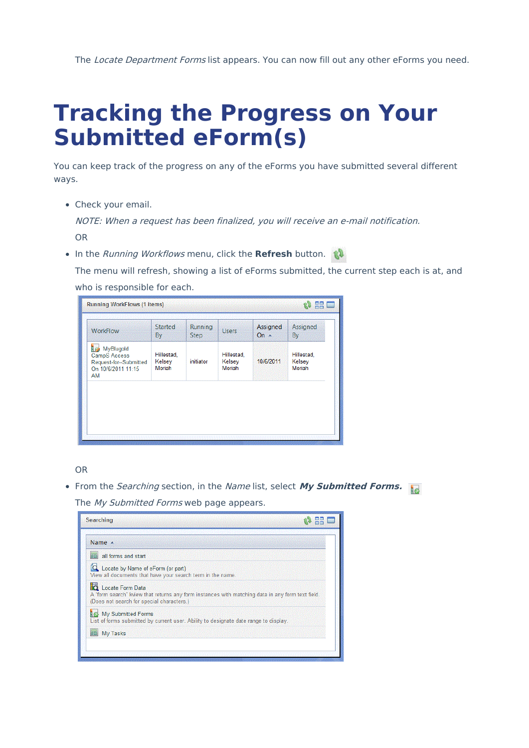The Locate Department Forms list appears. You can now fill out any other eForms you need.

## **Tracking the Progress on Your Submitted eForm(s)**

You can keep track of the progress on any of the eForms you have submitted several different ways.

Check your email.

NOTE: When <sup>a</sup> request has been finalized, you will receive an e-mail notification. OR

**In the Running Workflows menu, click the Refresh button.** 

The menu will refresh, showing a list of eForms submitted, the current step each is at, and who is responsible for each.

OR

• From the *Searching* section, in the Name list, select My Submitted Forms.

The My Submitted Forms web page appears.

| <b>Searching</b>                                                                                                                                                  |  |
|-------------------------------------------------------------------------------------------------------------------------------------------------------------------|--|
| Name $\triangle$                                                                                                                                                  |  |
| all forms and start                                                                                                                                               |  |
| Locate by Name of eForm (or part)<br>View all documents that have your search term in the name.                                                                   |  |
| Locate Form Data<br>A "form search" kview that returns any form instances with matching data in any form text field.<br>(Does not search for special characters.) |  |
| My Submitted Forms<br>List of forms submitted by current user. Ability to designate date range to display.                                                        |  |
| My Tasks                                                                                                                                                          |  |
|                                                                                                                                                                   |  |